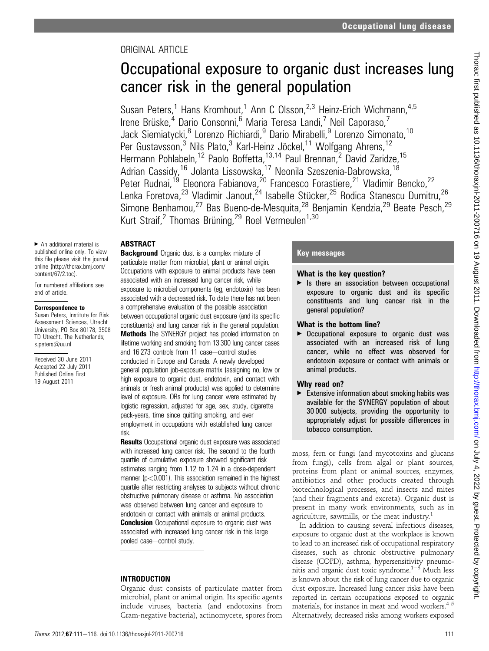## ORIGINAL ARTICLE

# Occupational exposure to organic dust increases lung cancer risk in the general population

Susan Peters,<sup>1</sup> Hans Kromhout,<sup>1</sup> Ann C Olsson,<sup>2,3</sup> Heinz-Erich Wichmann,<sup>4,5</sup> Irene Brüske,<sup>4</sup> Dario Consonni,<sup>6</sup> Maria Teresa Landi,<sup>7</sup> Neil Caporaso,<sup>7</sup> Jack Siemiatycki, <sup>8</sup> Lorenzo Richiardi, <sup>9</sup> Dario Mirabelli, <sup>9</sup> Lorenzo Simonato, <sup>10</sup> Per Gustavsson,<sup>3</sup> Nils Plato,<sup>3</sup> Karl-Heinz Jöckel,<sup>11</sup> Wolfgang Ahrens,<sup>12</sup> Hermann Pohlabeln,<sup>12</sup> Paolo Boffetta,<sup>13,14</sup> Paul Brennan,<sup>2</sup> David Zaridze,<sup>15</sup> Adrian Cassidy,<sup>16</sup> Jolanta Lissowska,<sup>17</sup> Neonila Szeszenia-Dabrowska,<sup>18</sup> Peter Rudnai,<sup>19</sup> Eleonora Fabianova,<sup>20</sup> Francesco Forastiere,<sup>21</sup> Vladimir Bencko,<sup>22</sup> Lenka Foretova,<sup>23</sup> Vladimir Janout,<sup>24</sup> Isabelle Stücker,<sup>25</sup> Rodica Stanescu Dumitru,<sup>26</sup> Simone Benhamou,<sup>27</sup> Bas Bueno-de-Mesquita,<sup>28</sup> Benjamin Kendzia,<sup>29</sup> Beate Pesch,<sup>29</sup> Kurt Straif,<sup>2</sup> Thomas Brüning,<sup>29</sup> Roel Vermeulen<sup>1,30</sup>

## ABSTRACT

 $\blacktriangleright$  An additional material is published online only. To view this file please visit the journal online (http://thorax.bmj.com/ content/67/2.toc).

For numbered affiliations see end of article.

### Correspondence to

Susan Peters, Institute for Risk Assessment Sciences, Utrecht University, PO Box 80178, 3508 TD Utrecht, The Netherlands; s.peters@uu.nl

Received 30 June 2011 Accepted 22 July 2011 Published Online First 19 August 2011

**Background** Organic dust is a complex mixture of particulate matter from microbial, plant or animal origin. Occupations with exposure to animal products have been associated with an increased lung cancer risk, while exposure to microbial components (eg, endotoxin) has been associated with a decreased risk. To date there has not been a comprehensive evaluation of the possible association between occupational organic dust exposure (and its specific constituents) and lung cancer risk in the general population. Methods The SYNERGY project has pooled information on lifetime working and smoking from 13 300 lung cancer cases and 16 273 controls from 11 case-control studies conducted in Europe and Canada. A newly developed general population job-exposure matrix (assigning no, low or high exposure to organic dust, endotoxin, and contact with animals or fresh animal products) was applied to determine level of exposure. ORs for lung cancer were estimated by logistic regression, adjusted for age, sex, study, cigarette pack-years, time since quitting smoking, and ever employment in occupations with established lung cancer risk.

**Results** Occupational organic dust exposure was associated with increased lung cancer risk. The second to the fourth quartile of cumulative exposure showed significant risk estimates ranging from 1.12 to 1.24 in a dose-dependent manner ( $p < 0.001$ ). This association remained in the highest quartile after restricting analyses to subjects without chronic obstructive pulmonary disease or asthma. No association was observed between lung cancer and exposure to endotoxin or contact with animals or animal products. **Conclusion** Occupational exposure to organic dust was associated with increased lung cancer risk in this large pooled case-control study.

## INTRODUCTION

Organic dust consists of particulate matter from microbial, plant or animal origin. Its specific agents include viruses, bacteria (and endotoxins from Gram-negative bacteria), actinomycete, spores from

## Key messages

## What is the key question?

 $\blacktriangleright$  Is there an association between occupational exposure to organic dust and its specific constituents and lung cancer risk in the general population?

## What is the bottom line?

▶ Occupational exposure to organic dust was associated with an increased risk of lung cancer, while no effect was observed for endotoxin exposure or contact with animals or animal products.

## Why read on?

 $\blacktriangleright$  Extensive information about smoking habits was available for the SYNERGY population of about 30 000 subjects, providing the opportunity to appropriately adjust for possible differences in tobacco consumption.

moss, fern or fungi (and mycotoxins and glucans from fungi), cells from algal or plant sources, proteins from plant or animal sources, enzymes, antibiotics and other products created through biotechnological processes, and insects and mites (and their fragments and excreta). Organic dust is present in many work environments, such as in agriculture, sawmills, or the meat industry.<sup>1</sup>

In addition to causing several infectious diseases, exposure to organic dust at the workplace is known to lead to an increased risk of occupational respiratory diseases, such as chronic obstructive pulmonary disease (COPD), asthma, hypersensitivity pneumonitis and organic dust toxic syndrome.<sup>1-3</sup> Much less is known about the risk of lung cancer due to organic dust exposure. Increased lung cancer risks have been reported in certain occupations exposed to organic materials, for instance in meat and wood workers.<sup>45</sup> Alternatively, decreased risks among workers exposed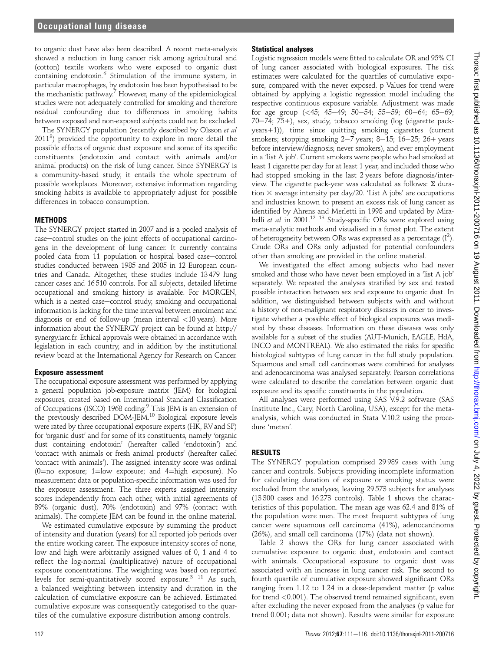to organic dust have also been described. A recent meta-analysis showed a reduction in lung cancer risk among agricultural and (cotton) textile workers who were exposed to organic dust containing endotoxin.<sup>6</sup> Stimulation of the immune system, in particular macrophages, by endotoxin has been hypothesised to be the mechanistic pathway.7 However, many of the epidemiological studies were not adequately controlled for smoking and therefore residual confounding due to differences in smoking habits between exposed and non-exposed subjects could not be excluded.

The SYNERGY population (recently described by Olsson et al 2011<sup>8</sup>) provided the opportunity to explore in more detail the possible effects of organic dust exposure and some of its specific constituents (endotoxin and contact with animals and/or animal products) on the risk of lung cancer. Since SYNERGY is a community-based study, it entails the whole spectrum of possible workplaces. Moreover, extensive information regarding smoking habits is available to appropriately adjust for possible differences in tobacco consumption.

### **METHODS**

The SYNERGY project started in 2007 and is a pooled analysis of case-control studies on the joint effects of occupational carcinogens in the development of lung cancer. It currently contains pooled data from 11 population or hospital based case-control studies conducted between 1985 and 2005 in 12 European countries and Canada. Altogether, these studies include 13 479 lung cancer cases and 16 510 controls. For all subjects, detailed lifetime occupational and smoking history is available. For MORGEN, which is a nested case-control study, smoking and occupational information is lacking for the time interval between enrolment and diagnosis or end of follow-up (mean interval <10 years). More information about the SYNERGY project can be found at http:// synergy.iarc.fr. Ethical approvals were obtained in accordance with legislation in each country, and in addition by the institutional review board at the International Agency for Research on Cancer.

### Exposure assessment

The occupational exposure assessment was performed by applying a general population job-exposure matrix (JEM) for biological exposures, created based on International Standard Classification of Occupations (ISCO) 1968 coding.<sup>9</sup> This JEM is an extension of the previously described DOM-JEM.<sup>10</sup> Biological exposure levels were rated by three occupational exposure experts (HK, RVand SP) for 'organic dust' and for some of its constituents, namely 'organic dust containing endotoxin' (hereafter called 'endotoxin') and 'contact with animals or fresh animal products' (hereafter called 'contact with animals'). The assigned intensity score was ordinal (0=no exposure; 1=low exposure; and 4=high exposure). No measurement data or population-specific information was used for the exposure assessment. The three experts assigned intensity scores independently from each other, with initial agreements of 89% (organic dust), 70% (endotoxin) and 97% (contact with animals). The complete JEM can be found in the online material.

We estimated cumulative exposure by summing the product of intensity and duration (years) for all reported job periods over the entire working career. The exposure intensity scores of none, low and high were arbitrarily assigned values of 0, 1 and 4 to reflect the log-normal (multiplicative) nature of occupational exposure concentrations. The weighting was based on reported levels for semi-quantitatively scored exposure.<sup>3</sup> <sup>11</sup> As such, a balanced weighting between intensity and duration in the calculation of cumulative exposure can be achieved. Estimated cumulative exposure was consequently categorised to the quartiles of the cumulative exposure distribution among controls.

### Statistical analyses

Logistic regression models were fitted to calculate OR and 95% CI of lung cancer associated with biological exposures. The risk estimates were calculated for the quartiles of cumulative exposure, compared with the never exposed. p Values for trend were obtained by applying a logistic regression model including the respective continuous exposure variable. Adjustment was made for age group  $( $45; 45-49; 50-54; 55-59; 60-64; 65-69;$$  $70-74$ ;  $75+$ ), sex, study, tobacco smoking (log (cigarette packyears+1)), time since quitting smoking cigarettes (current smokers; stopping smoking  $2-7$  years; 8-15; 16-25; 26+ years before interview/diagnosis; never smokers), and ever employment in a 'list A job'. Current smokers were people who had smoked at least 1 cigarette per day for at least 1 year, and included those who had stopped smoking in the last 2 years before diagnosis/interview. The cigarette pack-year was calculated as follows:  $\Sigma$  duration  $\times$  average intensity per day/20. 'List A jobs' are occupations and industries known to present an excess risk of lung cancer as identified by Ahrens and Merletti in 1998 and updated by Mirabelli et al in 2001.<sup>12 13</sup> Study-specific ORs were explored using meta-analytic methods and visualised in a forest plot. The extent of heterogeneity between ORs was expressed as a percentage  $(I^2)$ . Crude ORs and ORs only adjusted for potential confounders other than smoking are provided in the online material.

We investigated the effect among subjects who had never smoked and those who have never been employed in a 'list A job' separately. We repeated the analyses stratified by sex and tested possible interaction between sex and exposure to organic dust. In addition, we distinguished between subjects with and without a history of non-malignant respiratory diseases in order to investigate whether a possible effect of biological exposures was mediated by these diseases. Information on these diseases was only available for a subset of the studies (AUT-Munich, EAGLE, HdA, INCO and MONTREAL). We also estimated the risks for specific histological subtypes of lung cancer in the full study population. Squamous and small cell carcinomas were combined for analyses and adenocarcinoma was analysed separately. Pearson correlations were calculated to describe the correlation between organic dust exposure and its specific constituents in the population.

All analyses were performed using SAS V.9.2 software (SAS Institute Inc., Cary, North Carolina, USA), except for the metaanalysis, which was conducted in Stata V.10.2 using the procedure 'metan'.

### RESULTS

The SYNERGY population comprised 29 989 cases with lung cancer and controls. Subjects providing incomplete information for calculating duration of exposure or smoking status were excluded from the analyses, leaving 29 573 subjects for analyses (13 300 cases and 16 273 controls). Table 1 shows the characteristics of this population. The mean age was 62.4 and 81% of the population were men. The most frequent subtypes of lung cancer were squamous cell carcinoma (41%), adenocarcinoma (26%), and small cell carcinoma (17%) (data not shown).

Table 2 shows the ORs for lung cancer associated with cumulative exposure to organic dust, endotoxin and contact with animals. Occupational exposure to organic dust was associated with an increase in lung cancer risk. The second to fourth quartile of cumulative exposure showed significant ORs ranging from 1.12 to 1.24 in a dose-dependent matter (p value for trend <0.001). The observed trend remained significant, even after excluding the never exposed from the analyses (p value for trend 0.001; data not shown). Results were similar for exposure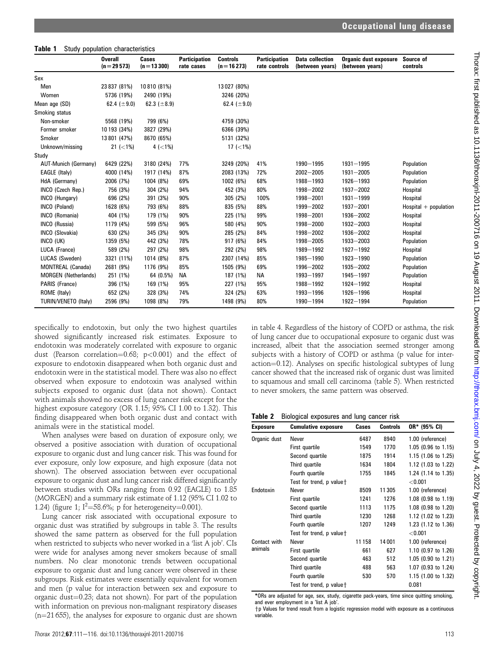#### Table 1 Study population characteristics

|                             | <b>Overall</b><br>$(n=29573)$ | Cases<br>$(n=13300)$ | <b>Participation</b><br>rate cases | <b>Controls</b><br>$(n = 16273)$ | <b>Participation</b><br>rate controls | <b>Data collection</b><br>(between years) | <b>Organic dust exposure</b><br>(between years) | Source of<br>controls   |
|-----------------------------|-------------------------------|----------------------|------------------------------------|----------------------------------|---------------------------------------|-------------------------------------------|-------------------------------------------------|-------------------------|
| Sex                         |                               |                      |                                    |                                  |                                       |                                           |                                                 |                         |
| Men                         | 23 837 (81%)                  | 10810 (81%)          |                                    | 13027 (80%)                      |                                       |                                           |                                                 |                         |
| Women                       | 5736 (19%)                    | 2490 (19%)           |                                    | 3246 (20%)                       |                                       |                                           |                                                 |                         |
| Mean age (SD)               | 62.4 ( $\pm$ 9.0)             | 62.3 ( $\pm$ 8.9)    |                                    | 62.4 ( $\pm$ 9.0)                |                                       |                                           |                                                 |                         |
| Smoking status              |                               |                      |                                    |                                  |                                       |                                           |                                                 |                         |
| Non-smoker                  | 5568 (19%)                    | 799 (6%)             |                                    | 4759 (30%)                       |                                       |                                           |                                                 |                         |
| Former smoker               | 10 193 (34%)                  | 3827 (29%)           |                                    | 6366 (39%)                       |                                       |                                           |                                                 |                         |
| Smoker                      | 13 801 (47%)                  | 8670 (65%)           |                                    | 5131 (32%)                       |                                       |                                           |                                                 |                         |
| Unknown/missing             | 21 $(-1%)$                    | 4 $(< 1\%)$          |                                    | 17 $(< 1\%)$                     |                                       |                                           |                                                 |                         |
| Study                       |                               |                      |                                    |                                  |                                       |                                           |                                                 |                         |
| <b>AUT-Munich (Germany)</b> | 6429 (22%)                    | 3180 (24%)           | 77%                                | 3249 (20%)                       | 41%                                   | 1990-1995                                 | $1931 - 1995$                                   | Population              |
| EAGLE (Italy)               | 4000 (14%)                    | 1917 (14%)           | 87%                                | 2083 (13%)                       | 72%                                   | $2002 - 2005$                             | $1931 - 2005$                                   | Population              |
| HdA (Germany)               | 2006 (7%)                     | 1004 (8%)            | 69%                                | 1002 (6%)                        | 68%                                   | 1988-1993                                 | 1926-1993                                       | Population              |
| INCO (Czech Rep.)           | 756 (3%)                      | 304 (2%)             | 94%                                | 452 (3%)                         | 80%                                   | 1998-2002                                 | 1937-2002                                       | Hospital                |
| INCO (Hungary)              | 696 (2%)                      | 391 (3%)             | 90%                                | 305 (2%)                         | 100%                                  | 1998-2001                                 | $1931 - 1999$                                   | Hospital                |
| INCO (Poland)               | 1628 (6%)                     | 793 (6%)             | 88%                                | 835 (5%)                         | 88%                                   | 1999-2002                                 | $1937 - 2001$                                   | $Hospital + population$ |
| INCO (Romania)              | 404 (1%)                      | 179 (1%)             | 90%                                | 225 (1%)                         | 99%                                   | 1998-2001                                 | 1936-2002                                       | Hospital                |
| INCO (Russia)               | 1179 (4%)                     | 599 (5%)             | 96%                                | 580 (4%)                         | 90%                                   | 1998-2000                                 | 1932-2003                                       | Hospital                |
| <b>INCO</b> (Slovakia)      | 630 (2%)                      | 345 (3%)             | 90%                                | 285 (2%)                         | 84%                                   | 1998-2002                                 | 1936-2002                                       | Hospital                |
| INCO (UK)                   | 1359 (5%)                     | 442 (3%)             | 78%                                | 917 (6%)                         | 84%                                   | 1998-2005                                 | 1933-2003                                       | Population              |
| LUCA (France)               | 589 (2%)                      | 297 (2%)             | 98%                                | 292 (2%)                         | 98%                                   | 1989-1992                                 | 1927-1992                                       | Hospital                |
| LUCAS (Sweden)              | 3321 (11%)                    | 1014 (8%)            | 87%                                | 2307 (14%)                       | 85%                                   | 1985-1990                                 | 1923-1990                                       | Population              |
| MONTREAL (Canada)           | 2681 (9%)                     | 1176 (9%)            | 85%                                | 1505 (9%)                        | 69%                                   | 1996-2002                                 | 1935-2002                                       | Population              |
| <b>MORGEN</b> (Netherlands) | 251 (1%)                      | 64 (0.5%)            | <b>NA</b>                          | 187 (1%)                         | <b>NA</b>                             | 1993-1997                                 | 1945-1997                                       | Population              |
| PARIS (France)              | 396 (1%)                      | 169 (1%)             | 95%                                | 227 (1%)                         | 95%                                   | 1988-1992                                 | 1924-1992                                       | Hospital                |
| ROME (Italy)                | 652 (2%)                      | 328 (3%)             | 74%                                | 324 (2%)                         | 63%                                   | 1993-1996                                 | 1926-1996                                       | Hospital                |
| TURIN/VENETO (Italy)        | 2596 (9%)                     | 1098 (8%)            | 79%                                | 1498 (9%)                        | 80%                                   | 1990-1994                                 | 1922-1994                                       | Population              |

specifically to endotoxin, but only the two highest quartiles showed significantly increased risk estimates. Exposure to endotoxin was moderately correlated with exposure to organic dust (Pearson correlation=0.68; p<0.001) and the effect of exposure to endotoxin disappeared when both organic dust and endotoxin were in the statistical model. There was also no effect observed when exposure to endotoxin was analysed within subjects exposed to organic dust (data not shown). Contact with animals showed no excess of lung cancer risk except for the highest exposure category (OR 1.15; 95% CI 1.00 to 1.32). This finding disappeared when both organic dust and contact with animals were in the statistical model.

When analyses were based on duration of exposure only, we observed a positive association with duration of occupational exposure to organic dust and lung cancer risk. This was found for ever exposure, only low exposure, and high exposure (data not shown). The observed association between ever occupational exposure to organic dust and lung cancer risk differed significantly between studies with ORs ranging from 0.92 (EAGLE) to 1.85 (MORGEN) and a summary risk estimate of 1.12 (95% CI 1.02 to 1.24) (figure 1;  $I^2 = 58.6\%$ ; p for heterogeneity=0.001).

Lung cancer risk associated with occupational exposure to organic dust was stratified by subgroups in table 3. The results showed the same pattern as observed for the full population when restricted to subjects who never worked in a 'list A job'. CIs were wide for analyses among never smokers because of small numbers. No clear monotonic trends between occupational exposure to organic dust and lung cancer were observed in these subgroups. Risk estimates were essentially equivalent for women and men (p value for interaction between sex and exposure to organic dust $=0.23$ ; data not shown). For part of the population with information on previous non-malignant respiratory diseases  $(n=21 655)$ , the analyses for exposure to organic dust are shown

in table 4. Regardless of the history of COPD or asthma, the risk of lung cancer due to occupational exposure to organic dust was increased, albeit that the association seemed stronger among subjects with a history of COPD or asthma (p value for interaction=0.12). Analyses on specific histological subtypes of lung cancer showed that the increased risk of organic dust was limited to squamous and small cell carcinoma (table 5). When restricted to never smokers, the same pattern was observed.

| <b>Table 2</b> Biological exposures and lung cancer risk |  |  |
|----------------------------------------------------------|--|--|
|----------------------------------------------------------|--|--|

| <b>Exposure</b> | <b>Cumulative exposure</b> | Cases  | <b>Controls</b> | OR* (95% CI)        |
|-----------------|----------------------------|--------|-----------------|---------------------|
| Organic dust    | Never                      | 6487   | 8940            | 1.00 (reference)    |
|                 | First quartile             | 1549   | 1770            | 1.05 (0.96 to 1.15) |
|                 | Second quartile            | 1875   | 1914            | 1.15 (1.06 to 1.25) |
|                 | Third quartile             | 1634   | 1804            | 1.12 (1.03 to 1.22) |
|                 | Fourth quartile            | 1755   | 1845            | 1.24 (1.14 to 1.35) |
|                 | Test for trend, p value+   |        |                 | < 0.001             |
| Endotoxin       | Never                      | 8509   | 11 305          | 1.00 (reference)    |
|                 | First quartile             | 1241   | 1276            | 1.08 (0.98 to 1.19) |
|                 | Second quartile            | 1113   | 1175            | 1.08 (0.98 to 1.20) |
|                 | Third quartile             | 1230   | 1268            | 1.12 (1.02 to 1.23) |
|                 | Fourth quartile            | 1207   | 1249            | 1.23 (1.12 to 1.36) |
|                 | Test for trend, p value +  |        |                 | < 0.001             |
| Contact with    | Never                      | 11 158 | 14 001          | 1.00 (reference)    |
| animals         | First quartile             | 661    | 627             | 1.10 (0.97 to 1.26) |
|                 | Second quartile            | 463    | 512             | 1.05 (0.90 to 1.21) |
|                 | Third quartile             | 488    | 563             | 1.07 (0.93 to 1.24) |
|                 | Fourth quartile            | 530    | 570             | 1.15 (1.00 to 1.32) |
|                 | Test for trend, p value+   |        |                 | 0.081               |

\*ORs are adjusted for age, sex, study, cigarette pack-years, time since quitting smoking, and ever employment in a 'list A job'

 $+p$  Values for trend result from a logistic regression model with exposure as a continuous variable.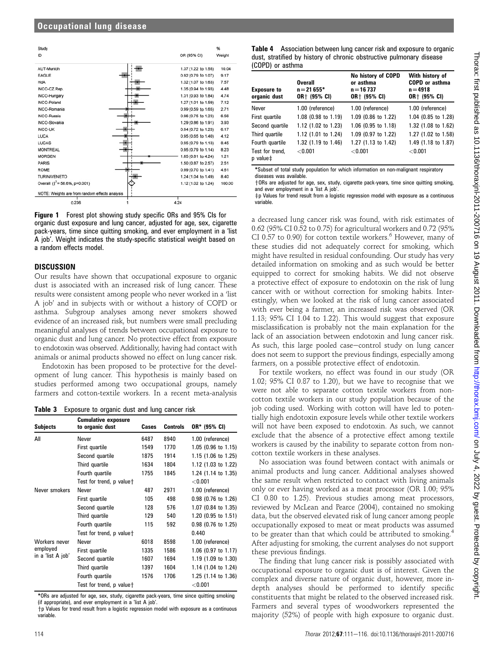| Study                                          | %                             |
|------------------------------------------------|-------------------------------|
| ID                                             | OR (95% CI)<br>Weight         |
| AUT-Munich                                     | 10.04<br>1.37 (1.22 to 1.55)  |
| <b>EAGLE</b>                                   | 9.17<br>0.92 (0.79 to 1.07)   |
| <b>HdA</b>                                     | 7.57<br>1.32 (1.07 to 1.63)   |
| INCO-CZ.Rep.                                   | 4.48<br>1.35 (0.94 to 1.93)   |
| INCO-Hungary                                   | 1.31 (0.93 to 1.84)<br>4.74   |
| INCO-Poland                                    | 1.27 (1.01 to 1.59)<br>7.12   |
| INCO-Romania                                   | 2.71<br>0.99 (0.59 to 1.65)   |
| <b>INCO-Russia</b>                             | 6.56<br>0.96 (0.75 to 1.23)   |
| INCO-Slovakia                                  | 3.93<br>1.29 (0.86 to 1.91)   |
| <b>INCO-UK</b>                                 | 6.17<br>0.94 (0.72 to 1.23)   |
| LUCA                                           | 0.95 (0.65 to 1.40)<br>4.12   |
| LUCAS                                          | 0.95 (0.79 to 1.13)<br>8.45   |
| <b>MONTREAL</b>                                | 0.95 (0.79 to 1.14)<br>8.23   |
| <b>MORGEN</b>                                  | 1.21<br>1.85 (0.81 to 4.24)   |
| <b>PARIS</b>                                   | 1.50 (0.87 to 2.57)<br>2.51   |
| <b>ROME</b>                                    | 0.99 (0.70 to 1.41)<br>4.61   |
| <b>TURIN/VENETO</b>                            | 1.24 (1.04 to 1.49)<br>8.40   |
| Overall $( ^2 = 58.6\%, p=0.001)$              | 100.00<br>1.12 (1.02 to 1.24) |
| NOTE: Weights are from random effects analysis |                               |
| 0.236                                          | 4.24                          |

Figure 1 Forest plot showing study specific ORs and 95% CIs for organic dust exposure and lung cancer, adjusted for age, sex, cigarette pack-years, time since quitting smoking, and ever employment in a 'list A job'. Weight indicates the study-specific statistical weight based on a random effects model.

### **DISCUSSION**

Our results have shown that occupational exposure to organic dust is associated with an increased risk of lung cancer. These results were consistent among people who never worked in a 'list A job' and in subjects with or without a history of COPD or asthma. Subgroup analyses among never smokers showed evidence of an increased risk, but numbers were small precluding meaningful analyses of trends between occupational exposure to organic dust and lung cancer. No protective effect from exposure to endotoxin was observed. Additionally, having had contact with animals or animal products showed no effect on lung cancer risk.

Endotoxin has been proposed to be protective for the development of lung cancer. This hypothesis is mainly based on studies performed among two occupational groups, namely farmers and cotton-textile workers. In a recent meta-analysis

Table 3 Exposure to organic dust and lung cancer risk

| <b>Subjects</b>   | <b>Cumulative exposure</b><br>to organic dust | Cases | <b>Controls</b> | OR* (95% CI)        |
|-------------------|-----------------------------------------------|-------|-----------------|---------------------|
| All               | Never                                         | 6487  | 8940            | 1.00 (reference)    |
|                   | First quartile                                | 1549  | 1770            | 1.05 (0.96 to 1.15) |
|                   | Second quartile                               | 1875  | 1914            | 1.15 (1.06 to 1.25) |
|                   | Third quartile                                | 1634  | 1804            | 1.12 (1.03 to 1.22) |
|                   | Fourth quartile                               | 1755  | 1845            | 1.24 (1.14 to 1.35) |
|                   | Test for trend, p value+                      |       |                 | < 0.001             |
| Never smokers     | Never                                         | 487   | 2971            | 1.00 (reference)    |
|                   | First quartile                                | 105   | 498             | 0.98 (0.76 to 1.26) |
|                   | Second quartile                               | 128   | 576             | 1.07 (0.84 to 1.35) |
|                   | Third quartile                                | 129   | 540             | 1.20 (0.95 to 1.51) |
|                   | Fourth quartile                               | 115   | 592             | 0.98 (0.76 to 1.25) |
|                   | Test for trend, p value <sup>+</sup>          |       |                 | 0.440               |
| Workers never     | Never                                         | 6018  | 8598            | 1.00 (reference)    |
| employed          | First quartile                                | 1335  | 1586            | 1.06 (0.97 to 1.17) |
| in a 'list A job' | Second quartile                               | 1607  | 1694            | 1.19 (1.09 to 1.30) |
|                   | Third quartile                                | 1397  | 1604            | 1.14 (1.04 to 1.24) |
|                   | Fourth quartile                               | 1576  | 1706            | 1.25 (1.14 to 1.36) |
|                   | Test for trend, p value+                      |       |                 | $<$ 0.001           |

\*ORs are adjusted for age, sex, study, cigarette pack-years, time since quitting smoking (if appropriate), and ever employment in a 'list A job'.

 $\dagger$ p Values for trend result from a logistic regression model with exposure as a continuous variable.

Table 4 Association between lung cancer risk and exposure to organic dust, stratified by history of chronic obstructive pulmonary disease (COPD) or asthma

| <b>Exposure to</b><br>organic dust      | <b>Overall</b><br>$n = 21655*$<br>OR+ (95% CI) | No history of COPD<br>or asthma<br>$n = 16737$<br>OR+ (95% CI) | With history of<br><b>COPD or asthma</b><br>$n = 4918$<br>OR+ (95% CI) |  |
|-----------------------------------------|------------------------------------------------|----------------------------------------------------------------|------------------------------------------------------------------------|--|
| Never                                   | 1.00 (reference)                               | 1.00 (reference)                                               | 1.00 (reference)                                                       |  |
| First quartile                          | 1.08 (0.98 to 1.19)                            | 1.09 (0.86 to 1.22)                                            | 1.04 (0.85 to 1.28)                                                    |  |
| Second quartile                         | 1.12 (1.02 to 1.23)                            | 1.06 (0.95 to 1.18)                                            | 1.32 (1.08 to 1.62)                                                    |  |
| Third quartile                          | 1.12 (1.01 to 1.24)                            | 1.09 (0.97 to 1.22)                                            | 1.27 (1.02 to 1.58)                                                    |  |
| Fourth quartile                         | 1.32 (1.19 to 1.46)                            | 1.27 (1.13 to 1.42)                                            | 1.49 (1.18 to 1.87)                                                    |  |
| Test for trend,<br>$p$ value $\ddagger$ | < 0.001                                        | < 0.001                                                        | < 0.001                                                                |  |

\*Subset of total study population for which information on non-malignant respiratory diseases was available.

yORs are adjusted for age, sex, study, cigarette pack-years, time since quitting smoking, and ever employment in a 'list A job'.

 $\pm$ p Values for trend result from a logistic regression model with exposure as a continuous variable.

a decreased lung cancer risk was found, with risk estimates of 0.62 (95% CI 0.52 to 0.75) for agricultural workers and 0.72 (95% CI 0.57 to 0.90) for cotton textile workers. $6$  However, many of these studies did not adequately correct for smoking, which might have resulted in residual confounding. Our study has very detailed information on smoking and as such would be better equipped to correct for smoking habits. We did not observe a protective effect of exposure to endotoxin on the risk of lung cancer with or without correction for smoking habits. Interestingly, when we looked at the risk of lung cancer associated with ever being a farmer, an increased risk was observed (OR 1.13; 95% CI 1.04 to 1.22). This would suggest that exposure misclassification is probably not the main explanation for the lack of an association between endotoxin and lung cancer risk. As such, this large pooled case-control study on lung cancer does not seem to support the previous findings, especially among farmers, on a possible protective effect of endotoxin.

For textile workers, no effect was found in our study (OR 1.02; 95% CI 0.87 to 1.20), but we have to recognise that we were not able to separate cotton textile workers from noncotton textile workers in our study population because of the job coding used. Working with cotton will have led to potentially high endotoxin exposure levels while other textile workers will not have been exposed to endotoxin. As such, we cannot exclude that the absence of a protective effect among textile workers is caused by the inability to separate cotton from noncotton textile workers in these analyses.

No association was found between contact with animals or animal products and lung cancer. Additional analyses showed the same result when restricted to contact with living animals only or ever having worked as a meat processor (OR 1.00; 95% CI 0.80 to 1.25). Previous studies among meat processors, reviewed by McLean and Pearce (2004), contained no smoking data, but the observed elevated risk of lung cancer among people occupationally exposed to meat or meat products was assumed to be greater than that which could be attributed to smoking.<sup>4</sup> After adjusting for smoking, the current analyses do not support these previous findings.

The finding that lung cancer risk is possibly associated with occupational exposure to organic dust is of interest. Given the complex and diverse nature of organic dust, however, more indepth analyses should be performed to identify specific constituents that might be related to the observed increased risk. Farmers and several types of woodworkers represented the majority (52%) of people with high exposure to organic dust.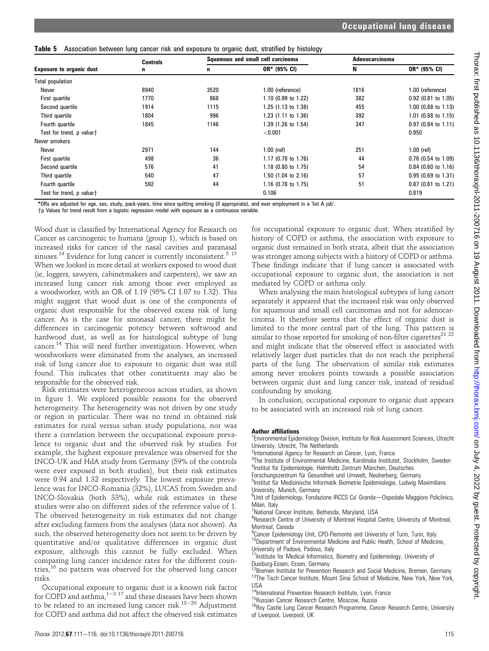**Table 5** Association between lung cancer risk and exposure to organic dust, stratified by histology

|                                      | <b>Controls</b> |      | Squamous and small cell carcinoma |      | Adenocarcinoma        |  |
|--------------------------------------|-----------------|------|-----------------------------------|------|-----------------------|--|
| <b>Exposure to organic dust</b>      | n               | n    | OR* (95% CI)                      |      | OR* (95% CI)          |  |
| <b>Total population</b>              |                 |      |                                   |      |                       |  |
| Never                                | 8940            | 3520 | 1.00 (reference)                  | 1816 | 1.00 (reference)      |  |
| First quartile                       | 1770            | 868  | 1.10 (0.99 to 1.22)               | 382  | $0.92$ (0.81 to 1.05) |  |
| Second quartile                      | 1914            | 1115 | 1.25 (1.13 to 1.38)               | 455  | 1.00 (0.88 to 1.13)   |  |
| Third quartile                       | 1804            | 996  | 1.23 (1.11 to 1.36)               | 392  | 1.01 (0.88 to 1.15)   |  |
| Fourth quartile                      | 1845            | 1146 | 1.39 (1.26 to 1.54)               | 347  | $0.97$ (0.84 to 1.11) |  |
| Test for trend, p value <sup>+</sup> |                 |      | < 0.001                           |      | 0.950                 |  |
| Never smokers                        |                 |      |                                   |      |                       |  |
| Never                                | 2971            | 144  | $1.00$ (ref)                      | 251  | $1.00$ (ref)          |  |
| First quartile                       | 498             | 36   | 1.17 (0.78 to 1.76)               | 44   | $0.76$ (0.54 to 1.09) |  |
| Second quartile                      | 576             | 41   | 1.18 (0.80 to 1.75)               | 54   | $0.84$ (0.60 to 1.16) |  |
| Third quartile                       | 540             | 47   | 1.50 (1.04 to 2.16)               | 57   | $0.95$ (0.69 to 1.31) |  |
| Fourth quartile                      | 592             | 44   | 1.16 (0.78 to 1.75)               | 51   | $0.87$ (0.61 to 1.21) |  |
| Test for trend, p value+             |                 |      | 0.106                             |      | 0.819                 |  |

\*ORs are adjusted for age, sex, study, pack-years, time since quitting smoking (if appropriate), and ever employment in a 'list A job'.

yp Values for trend result from a logistic regression model with exposure as a continuous variable.

Wood dust is classified by International Agency for Research on Cancer as carcinogenic to humans (group 1), which is based on increased risks for cancer of the nasal cavities and paranasal sinuses.<sup>14</sup> Evidence for lung cancer is currently inconsistent.<sup>5</sup> <sup>15</sup> When we looked in more detail at workers exposed to wood dust (ie, loggers, sawyers, cabinetmakers and carpenters), we saw an increased lung cancer risk among those ever employed as a woodworker, with an OR of 1.19 (95% CI 1.07 to 1.32). This might suggest that wood dust is one of the components of organic dust responsible for the observed excess risk of lung cancer. As is the case for sinonasal cancer, there might be differences in carcinogenic potency between softwood and hardwood dust, as well as for histological subtype of lung cancer.14 This will need further investigation. However, when woodworkers were eliminated from the analyses, an increased risk of lung cancer due to exposure to organic dust was still found. This indicates that other constituents may also be responsible for the observed risk.

Risk estimates were heterogeneous across studies, as shown in figure 1. We explored possible reasons for the observed heterogeneity. The heterogeneity was not driven by one study or region in particular. There was no trend in obtained risk estimates for rural versus urban study populations, nor was there a correlation between the occupational exposure prevalence to organic dust and the observed risk by studies. For example, the highest exposure prevalence was observed for the INCO-UK and HdA study from Germany (59% of the controls were ever exposed in both studies), but their risk estimates were 0.94 and 1.32 respectively. The lowest exposure prevalence was for INCO-Romania (32%), LUCAS from Sweden and INCO-Slovakia (both 33%), while risk estimates in these studies were also on different sides of the reference value of 1. The observed heterogeneity in risk estimates did not change after excluding farmers from the analyses (data not shown). As such, the observed heterogeneity does not seem to be driven by quantitative and/or qualitative differences in organic dust exposure, although this cannot be fully excluded. When comparing lung cancer incidence rates for the different countries,<sup>16</sup> no pattern was observed for the observed lung cancer risks.

Occupational exposure to organic dust is a known risk factor for COPD and asthma,  $1-3$  17 and these diseases have been shown to be related to an increased lung cancer risk. $18-20$  Adjustment for COPD and asthma did not affect the observed risk estimates

for occupational exposure to organic dust. When stratified by history of COPD or asthma, the association with exposure to organic dust remained in both strata, albeit that the association was stronger among subjects with a history of COPD or asthma. These findings indicate that if lung cancer is associated with occupational exposure to organic dust, the association is not mediated by COPD or asthma only.

When analysing the main histological subtypes of lung cancer separately it appeared that the increased risk was only observed for squamous and small cell carcinomas and not for adenocarcinoma. It therefore seems that the effect of organic dust is limited to the more central part of the lung. This pattern is similar to those reported for smoking of non-filter cigarettes<sup>21</sup> <sup>22</sup> and might indicate that the observed effect is associated with relatively larger dust particles that do not reach the peripheral parts of the lung. The observation of similar risk estimates among never smokers points towards a possible association between organic dust and lung cancer risk, instead of residual confounding by smoking.

In conclusion, occupational exposure to organic dust appears to be associated with an increased risk of lung cancer.

#### Author affiliations

<sup>1</sup> Environmental Epidemiology Division, Institute for Risk Assessment Sciences, Utrecht University, Utrecht, The Netherlands

<sup>2</sup>International Agency for Research on Cancer, Lyon, France

<sup>3</sup>The Institute of Environmental Medicine, Karolinska Institutet, Stockholm, Sweden <sup>4</sup>Institut für Epidemiologie, Helmholtz Zentrum München, Deutsches

Forschungszentrum für Gesundheit und Umwelt, Neuherberg, Germany

<sup>5</sup>Institut für Medizinische Informatik Biometrie Epidemiologie, Ludwig Maximilians University, Munich, Germany

<sup>6</sup>Unit of Epidemiology, Fondazione IRCCS Ca' Granda-Ospedale Maggiore Policlinico, Milan, Italy

7 National Cancer Institute, Bethesda, Maryland, USA

<sup>8</sup>Research Centre of University of Montreal Hospital Centre, University of Montreal, Montreal, Canada

<sup>9</sup> Cancer Epidemiology Unit, CPO-Piemonte and University of Turin, Turin, Italy <sup>10</sup>Department of Environmental Medicine and Public Health, School of Medicine,

University of Padova, Padova, Italy <sup>1</sup>Institute for Medical Informatics, Biometry and Epidemiology, University of

Duisburg-Essen, Essen, Germany<br><sup>12</sup>Bremen Institute for Prevention Research and Social Medicine, Bremen, Germany

 $13$ The Tisch Cancer Institute, Mount Sinai School of Medicine, New York, New York,

<sup>14</sup>International Prevention Research Institute, Lyon, France

<sup>15</sup>Russian Cancer Research Centre, Moscow, Russia<br><sup>16</sup>Roy Castle Lung Cancer Research Programme, Cancer Research Centre, University of Liverpool, Liverpool, UK